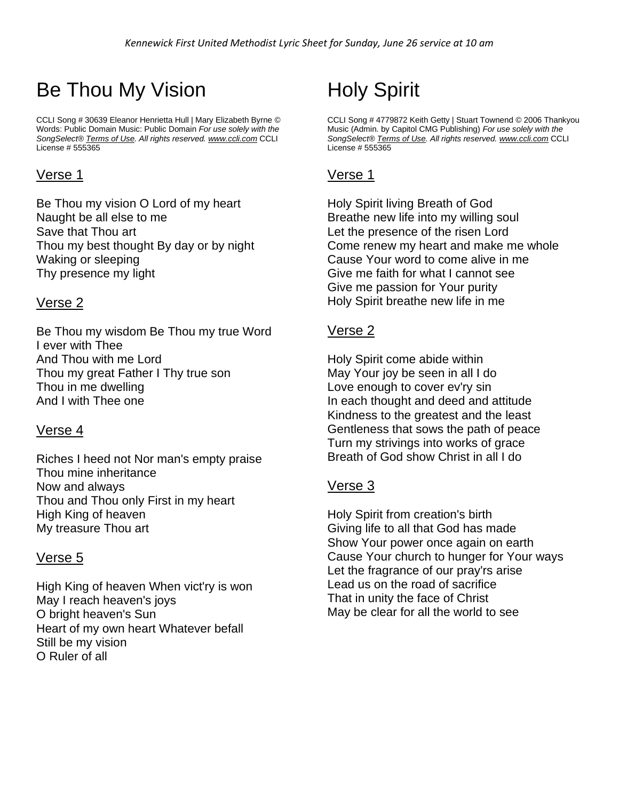# Be Thou My Vision

CCLI Song # 30639 Eleanor Henrietta Hull | Mary Elizabeth Byrne © Words: Public Domain Music: Public Domain *For use solely with the SongSelect® [Terms of Use.](https://songselect.ccli.com/about/termsofuse) All rights reserved. [www.ccli.com](http://www.ccli.com/)* CCLI License # 555365

## Verse 1

Be Thou my vision O Lord of my heart Naught be all else to me Save that Thou art Thou my best thought By day or by night Waking or sleeping Thy presence my light

## Verse 2

Be Thou my wisdom Be Thou my true Word I ever with Thee And Thou with me Lord Thou my great Father I Thy true son Thou in me dwelling And I with Thee one

## Verse 4

Riches I heed not Nor man's empty praise Thou mine inheritance Now and always Thou and Thou only First in my heart High King of heaven My treasure Thou art

## Verse 5

High King of heaven When vict'ry is won May I reach heaven's joys O bright heaven's Sun Heart of my own heart Whatever befall Still be my vision O Ruler of all

# Holy Spirit

CCLI Song # 4779872 Keith Getty | Stuart Townend © 2006 Thankyou Music (Admin. by Capitol CMG Publishing) *For use solely with the SongSelect® [Terms of Use.](https://songselect.ccli.com/about/termsofuse) All rights reserved. [www.ccli.com](http://www.ccli.com/)* CCLI License # 555365

# Verse 1

Holy Spirit living Breath of God Breathe new life into my willing soul Let the presence of the risen Lord Come renew my heart and make me whole Cause Your word to come alive in me Give me faith for what I cannot see Give me passion for Your purity Holy Spirit breathe new life in me

#### Verse 2

Holy Spirit come abide within May Your joy be seen in all I do Love enough to cover ev'ry sin In each thought and deed and attitude Kindness to the greatest and the least Gentleness that sows the path of peace Turn my strivings into works of grace Breath of God show Christ in all I do

# Verse 3

Holy Spirit from creation's birth Giving life to all that God has made Show Your power once again on earth Cause Your church to hunger for Your ways Let the fragrance of our pray'rs arise Lead us on the road of sacrifice That in unity the face of Christ May be clear for all the world to see